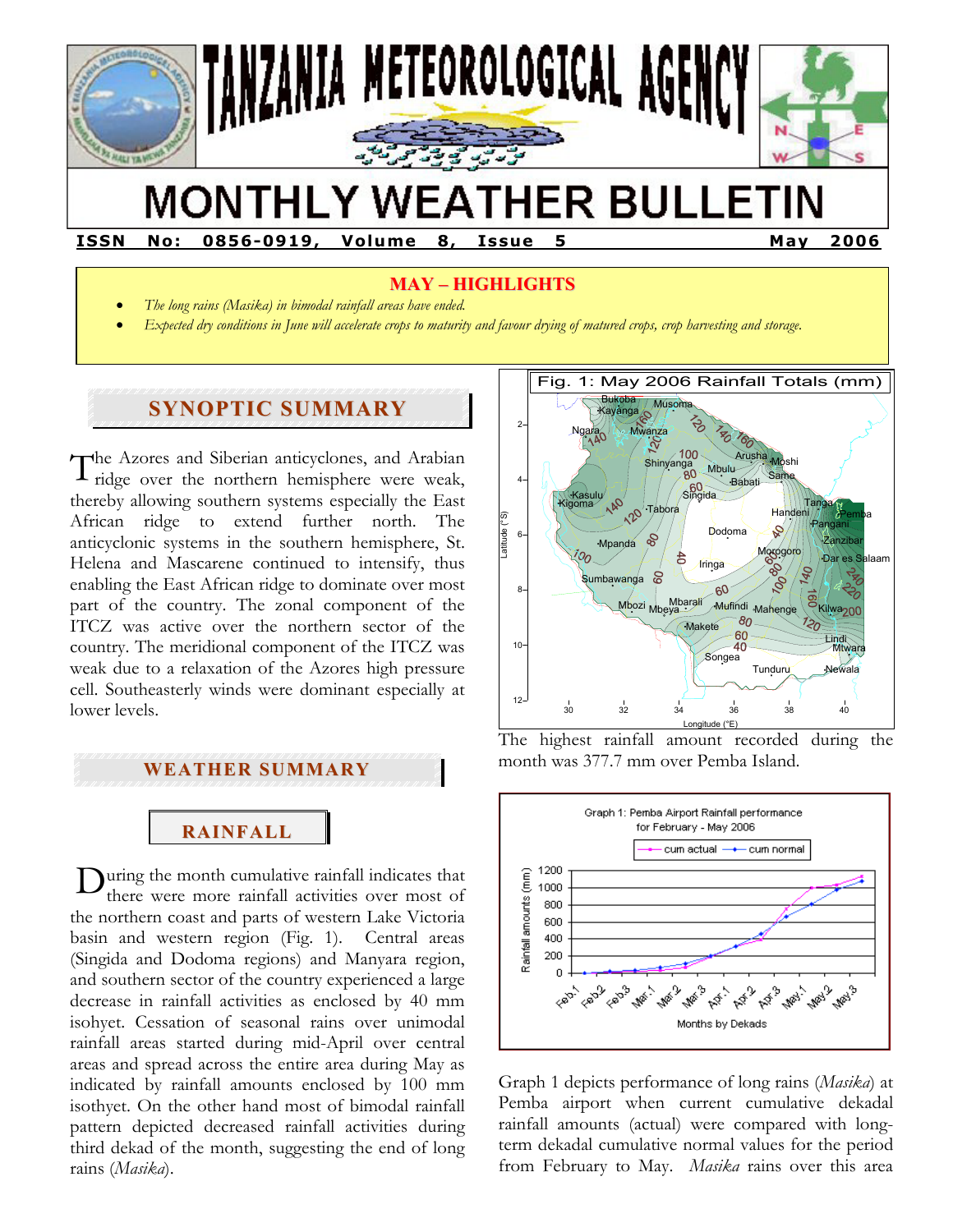

# **MONTHLY WEATHER BULLETIN**

**ISSN No: 0856-0919, Volume 8, Issue 5 May 2006** 

## **MAY – HIGHLIGHTS**

- *The long rains (Masika) in bimodal rainfall areas have ended.*
- *Expected dry conditions in June will accelerate crops to maturity and favour drying of matured crops, crop harvesting and storage.*

## **SYNOPTIC SUMMARY**

The Azores and Siberian anticyclones, and Arabian ridge over the northern hemisphere were weak, ridge over the northern hemisphere were weak, thereby allowing southern systems especially the East African ridge to extend further north. The anticyclonic systems in the southern hemisphere, St. Helena and Mascarene continued to intensify, thus enabling the East African ridge to dominate over most part of the country. The zonal component of the ITCZ was active over the northern sector of the country. The meridional component of the ITCZ was weak due to a relaxation of the Azores high pressure cell. Southeasterly winds were dominant especially at lower levels.

#### **WEATHER SUMMARY**

**RAINFALL**

 $D$ uring the month cumulative rainfall indicates that there were more rainfall activities over most of there were more rainfall activities over most of the northern coast and parts of western Lake Victoria basin and western region (Fig. 1). Central areas (Singida and Dodoma regions) and Manyara region, and southern sector of the country experienced a large decrease in rainfall activities as enclosed by 40 mm isohyet. Cessation of seasonal rains over unimodal rainfall areas started during mid-April over central areas and spread across the entire area during May as indicated by rainfall amounts enclosed by 100 mm isothyet. On the other hand most of bimodal rainfall pattern depicted decreased rainfall activities during third dekad of the month, suggesting the end of long rains (*Masika*).



The highest rainfall amount recorded during the month was 377.7 mm over Pemba Island.



Graph 1 depicts performance of long rains (*Masika*) at Pemba airport when current cumulative dekadal rainfall amounts (actual) were compared with longterm dekadal cumulative normal values for the period from February to May. *Masika* rains over this area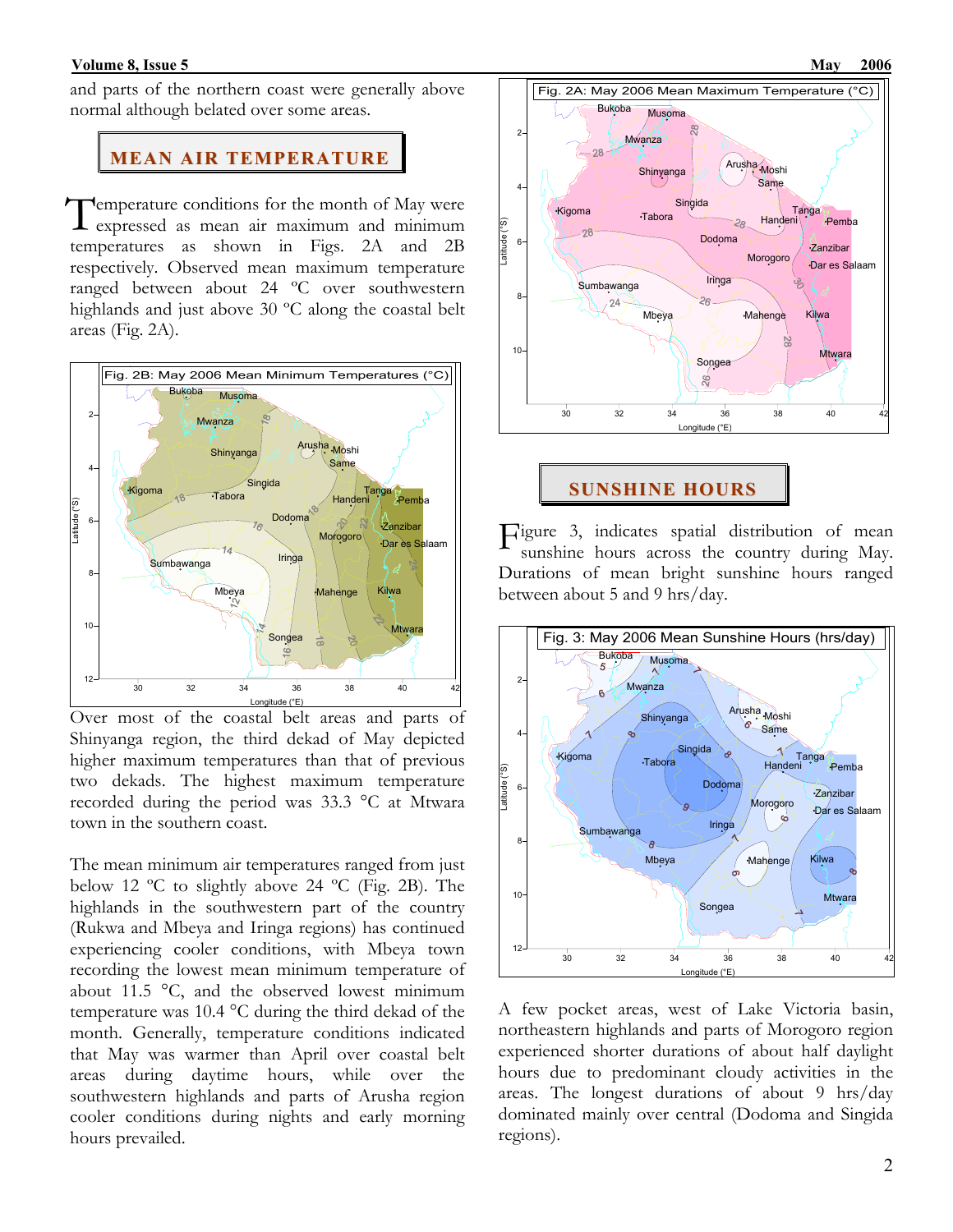and parts of the northern coast were generally above normal although belated over some areas.

#### **MEAN AIR TEMPERATURE**

Temperature conditions for the month of May were<br>expressed as mean air maximum and minimum expressed as mean air maximum and minimum temperatures as shown in Figs. 2A and 2B respectively. Observed mean maximum temperature ranged between about 24 ºC over southwestern highlands and just above 30 ºC along the coastal belt areas (Fig. 2A).



Over most of the coastal belt areas and parts of Shinyanga region, the third dekad of May depicted higher maximum temperatures than that of previous two dekads. The highest maximum temperature recorded during the period was 33.3 °C at Mtwara town in the southern coast.

The mean minimum air temperatures ranged from just below 12 ºC to slightly above 24 ºC (Fig. 2B). The highlands in the southwestern part of the country (Rukwa and Mbeya and Iringa regions) has continued experiencing cooler conditions, with Mbeya town recording the lowest mean minimum temperature of about 11.5 °C, and the observed lowest minimum temperature was 10.4 °C during the third dekad of the month. Generally, temperature conditions indicated that May was warmer than April over coastal belt areas during daytime hours, while over the southwestern highlands and parts of Arusha region cooler conditions during nights and early morning hours prevailed.



**SUNSHINE HOURS**

Figure 3, indicates spatial distribution of mean<br>sunshine hours across the country during May. sunshine hours across the country during May. Durations of mean bright sunshine hours ranged between about 5 and 9 hrs/day.



A few pocket areas, west of Lake Victoria basin, northeastern highlands and parts of Morogoro region experienced shorter durations of about half daylight hours due to predominant cloudy activities in the areas. The longest durations of about 9 hrs/day dominated mainly over central (Dodoma and Singida regions).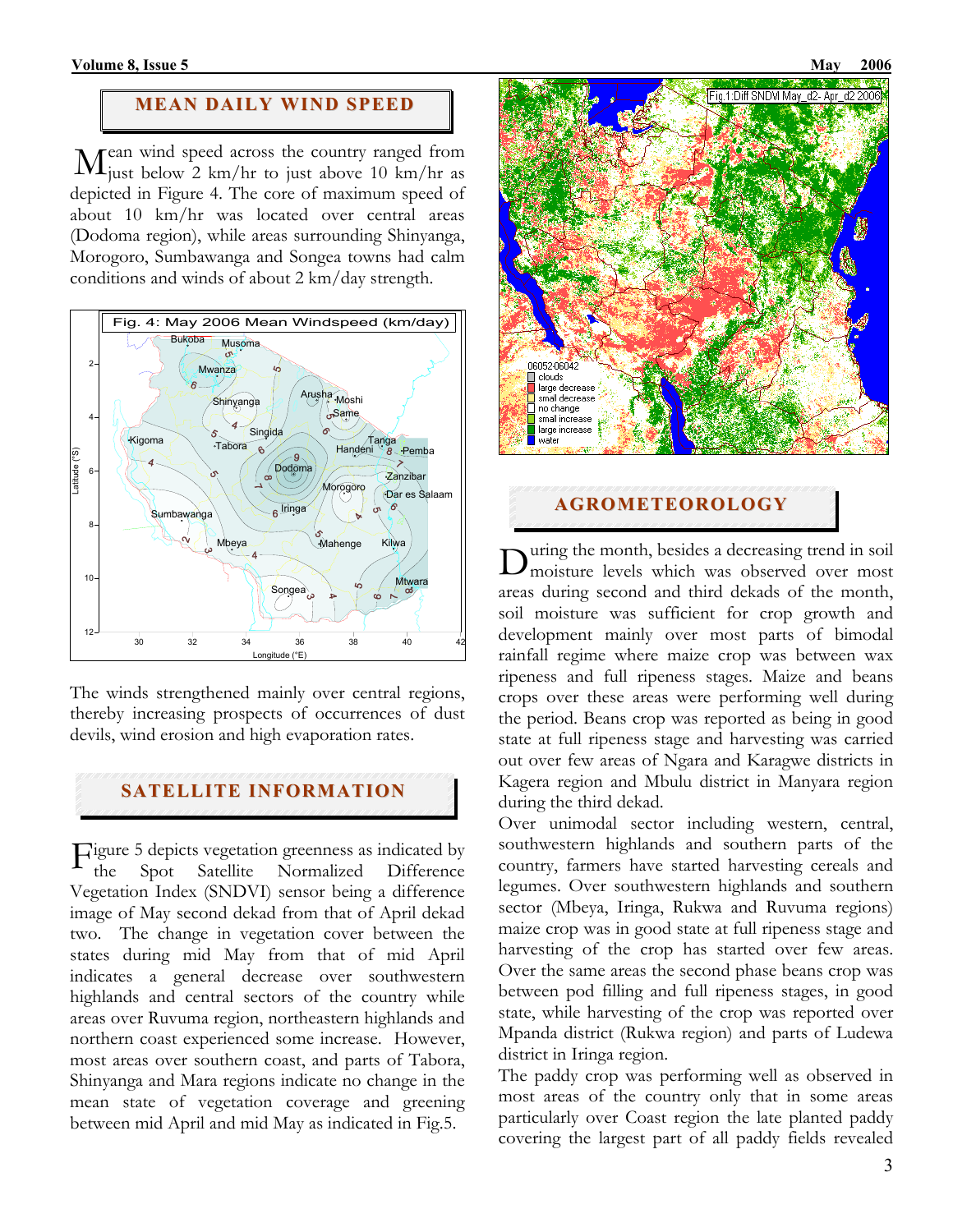# **MEAN DAILY WIND SPEED**

ean wind speed across the country ranged from  $\mathbf{M}^{\text{can wind speed across the country ranged from}}_{\text{just below 2 km/hr to just above 10 km/hr as}$ depicted in Figure 4. The core of maximum speed of about 10 km/hr was located over central areas (Dodoma region), while areas surrounding Shinyanga, Morogoro, Sumbawanga and Songea towns had calm conditions and winds of about 2 km/day strength.



The winds strengthened mainly over central regions, thereby increasing prospects of occurrences of dust devils, wind erosion and high evaporation rates.

# **SATELLITE INFORMATION**

Figure 5 depicts vegetation greenness as indicated by<br>the Spot Satellite Normalized Difference the Spot Satellite Normalized Difference Vegetation Index (SNDVI) sensor being a difference image of May second dekad from that of April dekad two. The change in vegetation cover between the states during mid May from that of mid April indicates a general decrease over southwestern highlands and central sectors of the country while areas over Ruvuma region, northeastern highlands and northern coast experienced some increase. However, most areas over southern coast, and parts of Tabora, Shinyanga and Mara regions indicate no change in the mean state of vegetation coverage and greening between mid April and mid May as indicated in Fig.5.



**AGROMETEOROLOGY**

uring the month, besides a decreasing trend in soil During the month, besides a decreasing trend in soil<br>Dmoisture levels which was observed over most areas during second and third dekads of the month, soil moisture was sufficient for crop growth and development mainly over most parts of bimodal rainfall regime where maize crop was between wax ripeness and full ripeness stages. Maize and beans crops over these areas were performing well during the period. Beans crop was reported as being in good state at full ripeness stage and harvesting was carried out over few areas of Ngara and Karagwe districts in Kagera region and Mbulu district in Manyara region during the third dekad.

Over unimodal sector including western, central, southwestern highlands and southern parts of the country, farmers have started harvesting cereals and legumes. Over southwestern highlands and southern sector (Mbeya, Iringa, Rukwa and Ruvuma regions) maize crop was in good state at full ripeness stage and harvesting of the crop has started over few areas. Over the same areas the second phase beans crop was between pod filling and full ripeness stages, in good state, while harvesting of the crop was reported over Mpanda district (Rukwa region) and parts of Ludewa district in Iringa region.

The paddy crop was performing well as observed in most areas of the country only that in some areas particularly over Coast region the late planted paddy covering the largest part of all paddy fields revealed